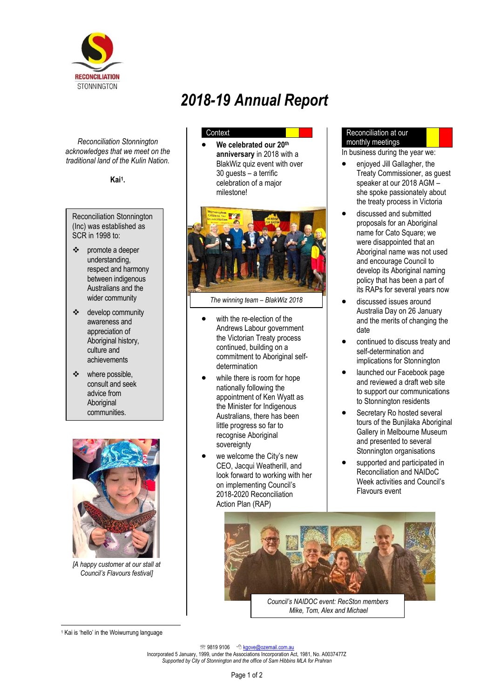

*Reconciliation Stonnington acknowledges that we meet on the traditional land of the Kulin Nation.*

**Kai<sup>1</sup> .**

Reconciliation Stonnington (Inc) was established as SCR in 1998 to:

- ❖ promote a deeper understanding, respect and harmony between indigenous Australians and the wider community
- ❖ develop community awareness and appreciation of Aboriginal history, culture and achievements
- ❖ where possible, consult and seek advice from Aboriginal communities.



*[A happy customer at our stall at Council's Flavours festival]*

# *2018-19 Annual Report*

## **Context**

• **We celebrated our 20th anniversary** in 2018 with a BlakWiz quiz event with over 30 guests – a terrific celebration of a major milestone!



*The winning team – BlakWiz 2018*

- with the re-election of the Andrews Labour government the Victorian Treaty process continued, building on a commitment to Aboriginal selfdetermination
- while there is room for hope nationally following the appointment of Ken Wyatt as the Minister for Indigenous Australians, there has been little progress so far to recognise Aboriginal sovereignty
- we welcome the City's new CEO, Jacqui Weatherill, and look forward to working with her on implementing Council's 2018-2020 Reconciliation Action Plan (RAP)

#### Reconciliation at our monthly meetings

In business during the year we:

- enjoyed Jill Gallagher, the Treaty Commissioner, as guest speaker at our 2018 AGM – she spoke passionately about the treaty process in Victoria
- discussed and submitted proposals for an Aboriginal name for Cato Square; we were disappointed that an Aboriginal name was not used and encourage Council to develop its Aboriginal naming policy that has been a part of its RAPs for several years now
- discussed issues around Australia Day on 26 January and the merits of changing the date
- continued to discuss treaty and self-determination and implications for Stonnington
- launched our Facebook page and reviewed a draft web site to support our communications to Stonnington residents
- Secretary Ro hosted several tours of the Bunjilaka Aboriginal Gallery in Melbourne Museum and presented to several Stonnington organisations
- supported and participated in Reconciliation and NAIDoC Week activities and Council's Flavours event



*Mike, Tom, Alex and Michael*

<sup>2</sup> 9819 9106 <sup>1</sup> kgove@ozemail.com.au

Incorporated 5 January, 1999, under the Associations Incorporation Act, 1981, No. A0037477Z *Supported by City of Stonnington and the office of Sam Hibbins MLA for Prahran* 

<sup>&</sup>lt;sup>1</sup> Kai is 'hello' in the Woiwurrung language